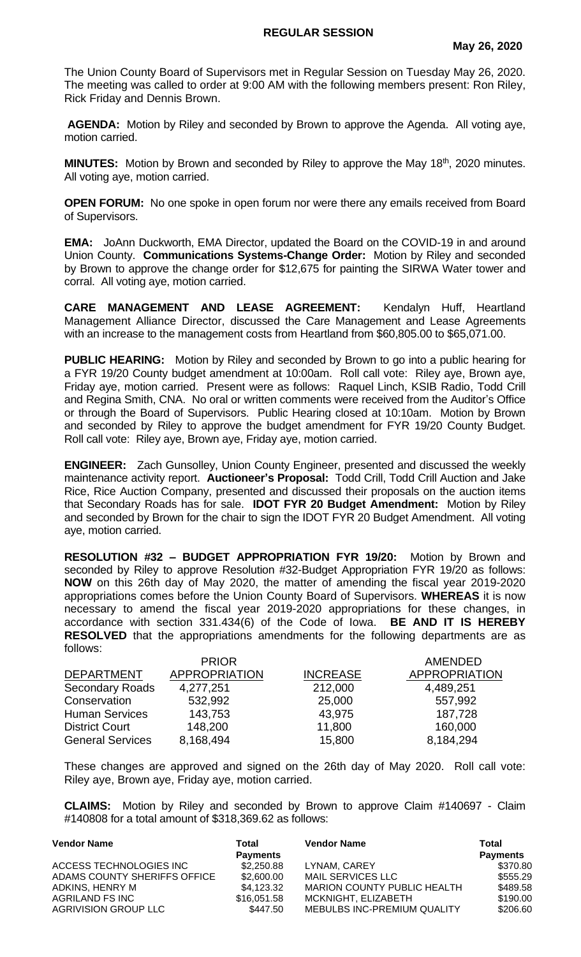## **REGULAR SESSION**

The Union County Board of Supervisors met in Regular Session on Tuesday May 26, 2020. The meeting was called to order at 9:00 AM with the following members present: Ron Riley, Rick Friday and Dennis Brown.

**AGENDA:** Motion by Riley and seconded by Brown to approve the Agenda. All voting aye, motion carried.

**MINUTES:** Motion by Brown and seconded by Riley to approve the May 18<sup>th</sup>, 2020 minutes. All voting aye, motion carried.

**OPEN FORUM:** No one spoke in open forum nor were there any emails received from Board of Supervisors.

**EMA:** JoAnn Duckworth, EMA Director, updated the Board on the COVID-19 in and around Union County. **Communications Systems-Change Order:** Motion by Riley and seconded by Brown to approve the change order for \$12,675 for painting the SIRWA Water tower and corral. All voting aye, motion carried.

**CARE MANAGEMENT AND LEASE AGREEMENT:** Kendalyn Huff, Heartland Management Alliance Director, discussed the Care Management and Lease Agreements with an increase to the management costs from Heartland from \$60,805.00 to \$65,071.00.

**PUBLIC HEARING:** Motion by Riley and seconded by Brown to go into a public hearing for a FYR 19/20 County budget amendment at 10:00am. Roll call vote: Riley aye, Brown aye, Friday aye, motion carried. Present were as follows: Raquel Linch, KSIB Radio, Todd Crill and Regina Smith, CNA. No oral or written comments were received from the Auditor's Office or through the Board of Supervisors. Public Hearing closed at 10:10am. Motion by Brown and seconded by Riley to approve the budget amendment for FYR 19/20 County Budget. Roll call vote: Riley aye, Brown aye, Friday aye, motion carried.

**ENGINEER:** Zach Gunsolley, Union County Engineer, presented and discussed the weekly maintenance activity report. **Auctioneer's Proposal:** Todd Crill, Todd Crill Auction and Jake Rice, Rice Auction Company, presented and discussed their proposals on the auction items that Secondary Roads has for sale. **IDOT FYR 20 Budget Amendment:** Motion by Riley and seconded by Brown for the chair to sign the IDOT FYR 20 Budget Amendment. All voting aye, motion carried.

**RESOLUTION #32 – BUDGET APPROPRIATION FYR 19/20:** Motion by Brown and seconded by Riley to approve Resolution #32-Budget Appropriation FYR 19/20 as follows: **NOW** on this 26th day of May 2020, the matter of amending the fiscal year 2019-2020 appropriations comes before the Union County Board of Supervisors. **WHEREAS** it is now necessary to amend the fiscal year 2019-2020 appropriations for these changes, in accordance with section 331.434(6) of the Code of Iowa. **BE AND IT IS HEREBY RESOLVED** that the appropriations amendments for the following departments are as follows:

|                         | <b>PRIOR</b>         |                 | <b>AMENDED</b>       |
|-------------------------|----------------------|-----------------|----------------------|
| <b>DEPARTMENT</b>       | <b>APPROPRIATION</b> | <b>INCREASE</b> | <b>APPROPRIATION</b> |
| <b>Secondary Roads</b>  | 4,277,251            | 212,000         | 4,489,251            |
| Conservation            | 532,992              | 25,000          | 557,992              |
| <b>Human Services</b>   | 143,753              | 43,975          | 187,728              |
| <b>District Court</b>   | 148,200              | 11,800          | 160,000              |
| <b>General Services</b> | 8,168,494            | 15,800          | 8,184,294            |

These changes are approved and signed on the 26th day of May 2020. Roll call vote: Riley aye, Brown aye, Friday aye, motion carried.

**CLAIMS:** Motion by Riley and seconded by Brown to approve Claim #140697 - Claim #140808 for a total amount of \$318,369.62 as follows:

| Total           | <b>Vendor Name</b>                 | Total           |
|-----------------|------------------------------------|-----------------|
| <b>Payments</b> |                                    | <b>Payments</b> |
| \$2,250.88      | LYNAM, CAREY                       | \$370.80        |
| \$2,600.00      | MAIL SERVICES LLC                  | \$555.29        |
| \$4,123.32      | <b>MARION COUNTY PUBLIC HEALTH</b> | \$489.58        |
| \$16,051.58     | MCKNIGHT, ELIZABETH                | \$190.00        |
| \$447.50        | <b>MEBULBS INC-PREMIUM QUALITY</b> | \$206.60        |
|                 |                                    |                 |